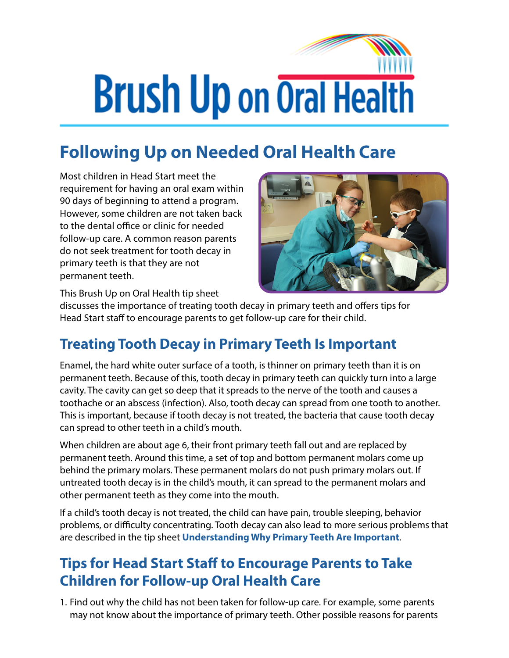## **Brush Up on Oral Health**

## **Following Up on Needed Oral Health Care**

Most children in Head Start meet the requirement for having an oral exam within 90 days of beginning to attend a program. However, some children are not taken back to the dental office or clinic for needed follow-up care. A common reason parents do not seek treatment for tooth decay in primary teeth is that they are not permanent teeth.



This Brush Up on Oral Health tip sheet

discusses the importance of treating tooth decay in primary teeth and offers tips for Head Start staff to encourage parents to get follow-up care for their child.

## **Treating Tooth Decay in Primary Teeth Is Important**

Enamel, the hard white outer surface of a tooth, is thinner on primary teeth than it is on permanent teeth. Because of this, tooth decay in primary teeth can quickly turn into a large cavity. The cavity can get so deep that it spreads to the nerve of the tooth and causes a toothache or an abscess (infection). Also, tooth decay can spread from one tooth to another. This is important, because if tooth decay is not treated, the bacteria that cause tooth decay can spread to other teeth in a child's mouth.

When children are about age 6, their front primary teeth fall out and are replaced by permanent teeth. Around this time, a set of top and bottom permanent molars come up behind the primary molars. These permanent molars do not push primary molars out. If untreated tooth decay is in the child's mouth, it can spread to the permanent molars and other permanent teeth as they come into the mouth.

If a child's tooth decay is not treated, the child can have pain, trouble sleeping, behavior problems, or difficulty concentrating. Tooth decay can also lead to more serious problems that are described in the tip sheet **[Understanding Why Primary Teeth Are Important](https://eclkc.ohs.acf.hhs.gov/oral-health/brush-oral-health/understanding-why-primary-teeth-are-important)**.

## **Tips for Head Start Staff to Encourage Parents to Take Children for Follow-up Oral Health Care**

1. Find out why the child has not been taken for follow-up care. For example, some parents may not know about the importance of primary teeth. Other possible reasons for parents